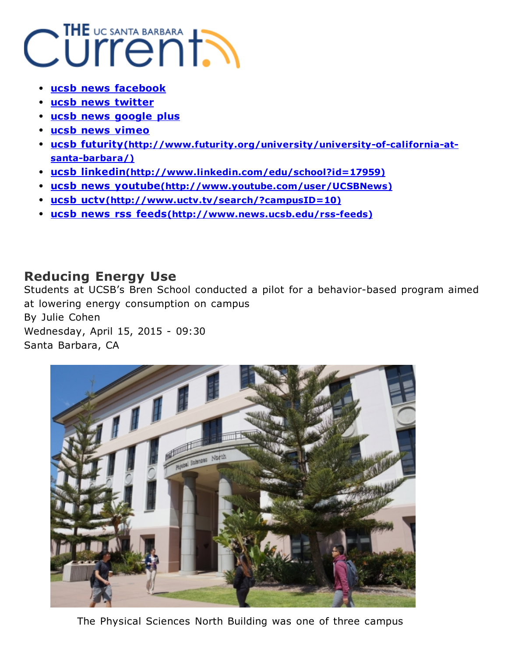## Current BARBARA

- [ucsb](http://www.news.ucsb.edu/) news [facebook](https://www.facebook.com/ucsantabarbara)
- [u](javascript:void(0);)csb news [twitter](https://twitter.com/ucsantabarbara)
- ucsb news [google](https://plus.google.com/+ucsantabarbara) plus
- ucsb news [vimeo](https://vimeo.com/ucsb)
- ucsb futurity(http://www.futurity.org/university/university-of-california-atsanta-barbara/)
- [ucsb](http://www.sharethis.com/features/download?source=doneScreen4x) linkedin[\(http://www.linkedin.com/edu/school?id=17959\)](http://www.linkedin.com/edu/school?id=17959)
- ucsb news youtube[\(http://www.youtube.com/user/UCSBNews\)](http://www.youtube.com/user/UCSBNews)
- ucsb uctv[\(http://www.uctv.tv/search/?campusID=10\)](http://www.uctv.tv/search/?campusID=10)
- ucsb news rss feeds(http://www.news.ucsb.edu/rss-feeds)

## Reducing Energy Use

Students at UCSB's Bren School conducted a pilot for a behavior-based program aimed at lowering energy consumption on campus By Julie Cohen Wednesday, April 15, 2015 - 09:30 Santa Barbara, CA



The Physical Sciences North Building was one of three campus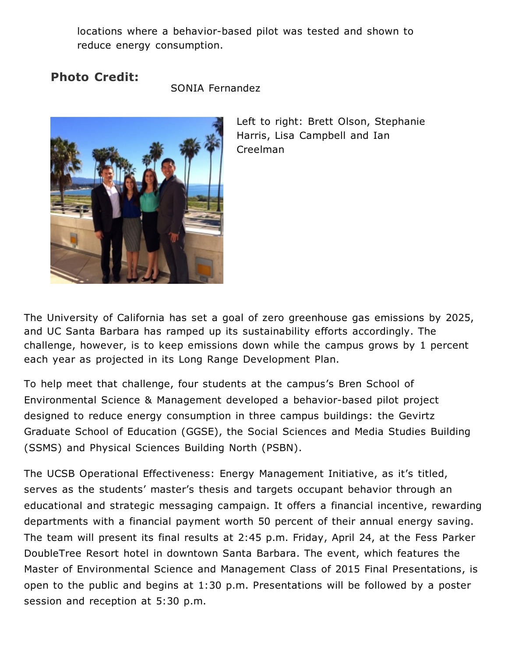locations where a behavior-based pilot was tested and shown to reduce energy consumption.

## Photo Credit:

SONIA Fernandez



Left to right: Brett Olson, Stephanie Harris, Lisa Campbell and Ian Creelman

The University of California has set a goal of zero greenhouse gas emissions by 2025, and UC Santa Barbara has ramped up its sustainability efforts accordingly. The challenge, however, is to keep emissions down while the campus grows by 1 percent each year as projected in its Long Range Development Plan.

To help meet that challenge, four students at the campus's Bren School of Environmental Science & Management developed a behavior-based pilot project designed to reduce energy consumption in three campus buildings: the Gevirtz Graduate School of Education (GGSE), the Social Sciences and Media Studies Building (SSMS) and Physical Sciences Building North (PSBN).

The UCSB Operational Effectiveness: Energy Management Initiative, as it's titled, serves as the students' master's thesis and targets occupant behavior through an educational and strategic messaging campaign. It offers a financial incentive, rewarding departments with a financial payment worth 50 percent of their annual energy saving. The team will present its final results at 2:45 p.m. Friday, April 24, at the Fess Parker DoubleTree Resort hotel in downtown Santa Barbara. The event, which features the Master of Environmental Science and Management Class of 2015 Final Presentations, is open to the public and begins at 1:30 p.m. Presentations will be followed by a poster session and reception at 5:30 p.m.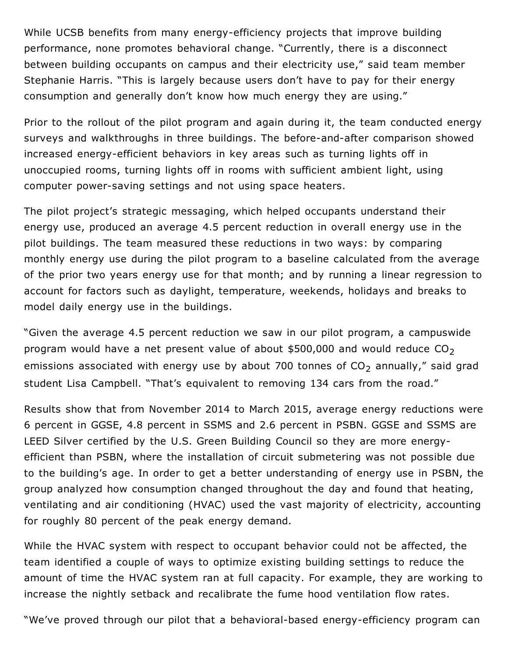While UCSB benefits from many energy-efficiency projects that improve building performance, none promotes behavioral change. "Currently, there is a disconnect between building occupants on campus and their electricity use," said team member Stephanie Harris. "This is largely because users don't have to pay for their energy consumption and generally don't know how much energy they are using."

Prior to the rollout of the pilot program and again during it, the team conducted energy surveys and walkthroughs in three buildings. The before-and-after comparison showed increased energy-efficient behaviors in key areas such as turning lights off in unoccupied rooms, turning lights off in rooms with sufficient ambient light, using computer power-saving settings and not using space heaters.

The pilot project's strategic messaging, which helped occupants understand their energy use, produced an average 4.5 percent reduction in overall energy use in the pilot buildings. The team measured these reductions in two ways: by comparing monthly energy use during the pilot program to a baseline calculated from the average of the prior two years energy use for that month; and by running a linear regression to account for factors such as daylight, temperature, weekends, holidays and breaks to model daily energy use in the buildings.

"Given the average 4.5 percent reduction we saw in our pilot program, a campuswide program would have a net present value of about \$500,000 and would reduce  $CO<sub>2</sub>$ emissions associated with energy use by about 700 tonnes of  $CO<sub>2</sub>$  annually," said grad student Lisa Campbell. "That's equivalent to removing 134 cars from the road."

Results show that from November 2014 to March 2015, average energy reductions were 6 percent in GGSE, 4.8 percent in SSMS and 2.6 percent in PSBN. GGSE and SSMS are LEED Silver certified by the U.S. Green Building Council so they are more energyefficient than PSBN, where the installation of circuit submetering was not possible due to the building's age. In order to get a better understanding of energy use in PSBN, the group analyzed how consumption changed throughout the day and found that heating, ventilating and air conditioning (HVAC) used the vast majority of electricity, accounting for roughly 80 percent of the peak energy demand.

While the HVAC system with respect to occupant behavior could not be affected, the team identified a couple of ways to optimize existing building settings to reduce the amount of time the HVAC system ran at full capacity. For example, they are working to increase the nightly setback and recalibrate the fume hood ventilation flow rates.

"We've proved through our pilot that a behavioral-based energy-efficiency program can